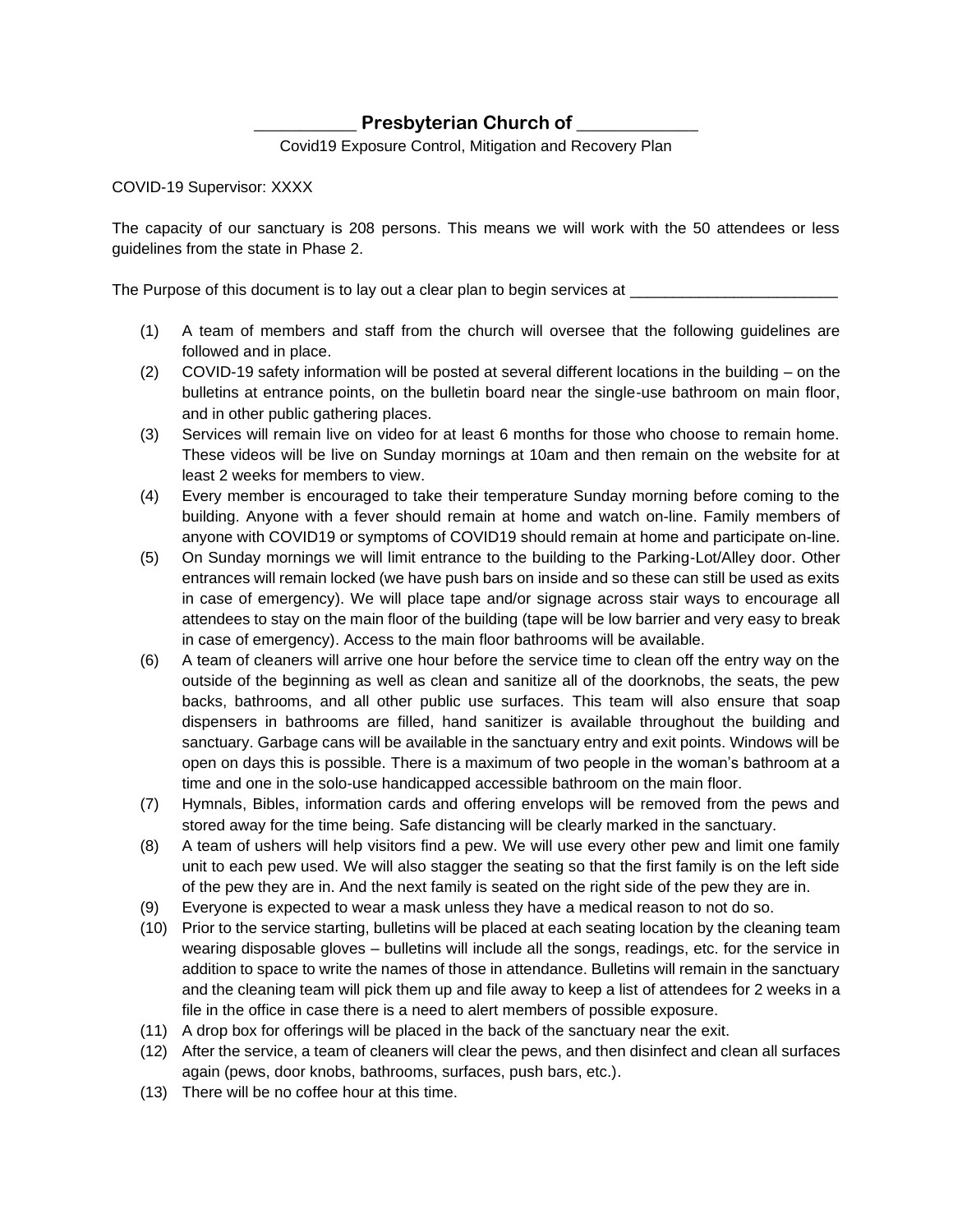## **Presbyterian Church of**

Covid19 Exposure Control, Mitigation and Recovery Plan

COVID-19 Supervisor: XXXX

The capacity of our sanctuary is 208 persons. This means we will work with the 50 attendees or less guidelines from the state in Phase 2.

The Purpose of this document is to lay out a clear plan to begin services at \_\_\_

- (1) A team of members and staff from the church will oversee that the following guidelines are followed and in place.
- (2) COVID-19 safety information will be posted at several different locations in the building on the bulletins at entrance points, on the bulletin board near the single-use bathroom on main floor, and in other public gathering places.
- (3) Services will remain live on video for at least 6 months for those who choose to remain home. These videos will be live on Sunday mornings at 10am and then remain on the website for at least 2 weeks for members to view.
- (4) Every member is encouraged to take their temperature Sunday morning before coming to the building. Anyone with a fever should remain at home and watch on-line. Family members of anyone with COVID19 or symptoms of COVID19 should remain at home and participate on-line.
- (5) On Sunday mornings we will limit entrance to the building to the Parking-Lot/Alley door. Other entrances will remain locked (we have push bars on inside and so these can still be used as exits in case of emergency). We will place tape and/or signage across stair ways to encourage all attendees to stay on the main floor of the building (tape will be low barrier and very easy to break in case of emergency). Access to the main floor bathrooms will be available.
- (6) A team of cleaners will arrive one hour before the service time to clean off the entry way on the outside of the beginning as well as clean and sanitize all of the doorknobs, the seats, the pew backs, bathrooms, and all other public use surfaces. This team will also ensure that soap dispensers in bathrooms are filled, hand sanitizer is available throughout the building and sanctuary. Garbage cans will be available in the sanctuary entry and exit points. Windows will be open on days this is possible. There is a maximum of two people in the woman's bathroom at a time and one in the solo-use handicapped accessible bathroom on the main floor.
- (7) Hymnals, Bibles, information cards and offering envelops will be removed from the pews and stored away for the time being. Safe distancing will be clearly marked in the sanctuary.
- (8) A team of ushers will help visitors find a pew. We will use every other pew and limit one family unit to each pew used. We will also stagger the seating so that the first family is on the left side of the pew they are in. And the next family is seated on the right side of the pew they are in.
- (9) Everyone is expected to wear a mask unless they have a medical reason to not do so.
- (10) Prior to the service starting, bulletins will be placed at each seating location by the cleaning team wearing disposable gloves – bulletins will include all the songs, readings, etc. for the service in addition to space to write the names of those in attendance. Bulletins will remain in the sanctuary and the cleaning team will pick them up and file away to keep a list of attendees for 2 weeks in a file in the office in case there is a need to alert members of possible exposure.
- (11) A drop box for offerings will be placed in the back of the sanctuary near the exit.
- (12) After the service, a team of cleaners will clear the pews, and then disinfect and clean all surfaces again (pews, door knobs, bathrooms, surfaces, push bars, etc.).
- (13) There will be no coffee hour at this time.